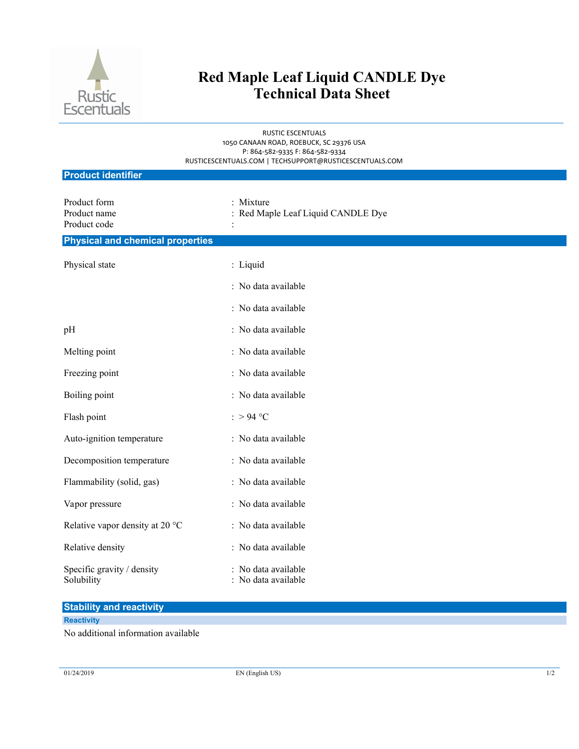

# **Red Maple Leaf Liquid CANDLE Dye Technical Data Sheet**

RUSTIC ESCENTUALS 1050 CANAAN ROAD, ROEBUCK, SC 29376 USA P: 864-582-9335 F: 864-582-9334 RUSTICESCENTUALS.COM | TECHSUPPORT@RUSTICESCENTUALS.COM

| <b>Product identifier</b>                    |                                             |  |
|----------------------------------------------|---------------------------------------------|--|
| Product form<br>Product name<br>Product code | Mixture<br>Red Maple Leaf Liquid CANDLE Dye |  |
| <b>Physical and chemical properties</b>      |                                             |  |
| Physical state                               | : Liquid                                    |  |
|                                              | : No data available                         |  |
|                                              | : No data available                         |  |
| pH                                           | : No data available                         |  |
| Melting point                                | : No data available                         |  |
| Freezing point                               | : No data available                         |  |
| Boiling point                                | : No data available                         |  |
| Flash point                                  | : > 94 °C                                   |  |
| Auto-ignition temperature                    | : No data available                         |  |
| Decomposition temperature                    | : No data available                         |  |
| Flammability (solid, gas)                    | : No data available                         |  |
| Vapor pressure                               | : No data available                         |  |
| Relative vapor density at 20 °C              | : No data available                         |  |
| Relative density                             | : No data available                         |  |
| Specific gravity / density<br>Solubility     | : No data available<br>No data available    |  |

### **Stability and reactivity**

#### **Reactivity**

No additional information available